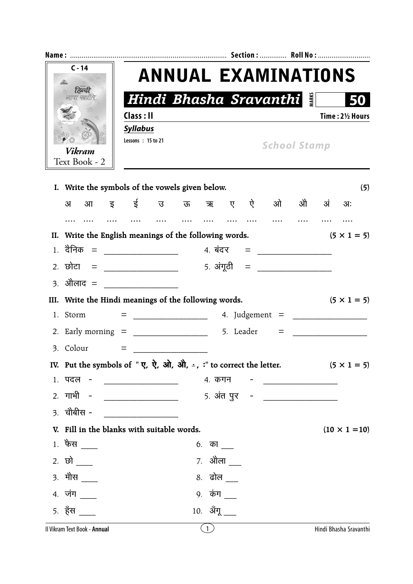| $C - 14$<br>$\mathscr{L}$                                                                                                                                |                                               |  |  |                      |  |  | <b>ANNUAL EXAMINATIONS</b>                       |  |  |                                  |  |
|----------------------------------------------------------------------------------------------------------------------------------------------------------|-----------------------------------------------|--|--|----------------------|--|--|--------------------------------------------------|--|--|----------------------------------|--|
| हिल्द<br>भाषा कार्या                                                                                                                                     |                                               |  |  |                      |  |  | <b>Hindi Bhasha Sravanthi</b>                    |  |  |                                  |  |
|                                                                                                                                                          | Class : II                                    |  |  |                      |  |  |                                                  |  |  | Time: 21/2 Hours                 |  |
|                                                                                                                                                          | <b>Syllabus</b><br>Lessons: 15 to 21          |  |  |                      |  |  |                                                  |  |  |                                  |  |
| <b>Vikram</b><br>Text Book - 2                                                                                                                           |                                               |  |  |                      |  |  | <b>School Stamp</b>                              |  |  |                                  |  |
| I. Write the symbols of the vowels given below.                                                                                                          |                                               |  |  |                      |  |  |                                                  |  |  | (5)                              |  |
| आइई उऊ ऋ ए ऐ ओ औ अं<br>अ                                                                                                                                 |                                               |  |  |                      |  |  |                                                  |  |  | अः                               |  |
|                                                                                                                                                          |                                               |  |  |                      |  |  |                                                  |  |  |                                  |  |
| II. Write the English meanings of the following words.                                                                                                   |                                               |  |  |                      |  |  |                                                  |  |  | $(5 \times 1 = 5)$               |  |
|                                                                                                                                                          |                                               |  |  |                      |  |  |                                                  |  |  |                                  |  |
| 2. छोटा = ______________                                                                                                                                 |                                               |  |  |                      |  |  |                                                  |  |  |                                  |  |
| 3. ओेलाद = __________________                                                                                                                            |                                               |  |  |                      |  |  |                                                  |  |  |                                  |  |
| III. Write the Hindi meanings of the following words.                                                                                                    |                                               |  |  |                      |  |  |                                                  |  |  | $(5 \times 1 = 5)$               |  |
| 1. Storm                                                                                                                                                 |                                               |  |  |                      |  |  |                                                  |  |  |                                  |  |
|                                                                                                                                                          |                                               |  |  |                      |  |  |                                                  |  |  | $\equiv$ and the set of $\equiv$ |  |
| 3. Colour                                                                                                                                                | $\equiv$ , and the set of the set of $\equiv$ |  |  |                      |  |  |                                                  |  |  |                                  |  |
| IV. Put the symbols of " $\vec{\mathbf{y}}, \vec{\mathbf{y}}, \vec{\mathbf{y}}, \vec{\mathbf{M}}, \vec{\mathbf{M}}, \dot{=}$ , :" to correct the letter. |                                               |  |  |                      |  |  |                                                  |  |  | $(5 \times 1 = 5)$               |  |
| 1. पदल -                                                                                                                                                 |                                               |  |  | 4. कगन               |  |  | <u> 2000 - Jan James James Barnett, martin a</u> |  |  |                                  |  |
| 2. गाभी -                                                                                                                                                |                                               |  |  |                      |  |  |                                                  |  |  |                                  |  |
| <u>3. चौबीस -</u>                                                                                                                                        |                                               |  |  |                      |  |  |                                                  |  |  |                                  |  |
| V. Fill in the blanks with suitable words.                                                                                                               |                                               |  |  |                      |  |  |                                                  |  |  | $(10 \times 1 = 10)$             |  |
| $1.$ फैस $\_\_$                                                                                                                                          |                                               |  |  | $6.$ का $\_\_$       |  |  |                                                  |  |  |                                  |  |
| 2. छो $\frac{1}{1}$                                                                                                                                      |                                               |  |  |                      |  |  |                                                  |  |  |                                  |  |
| $3.$ मौस $\_$                                                                                                                                            |                                               |  |  | 8. ढोल <u>_</u>      |  |  |                                                  |  |  |                                  |  |
| 4. जंग ____                                                                                                                                              |                                               |  |  | 9. कंग $\frac{1}{2}$ |  |  |                                                  |  |  |                                  |  |
| $5.$ हँस $\_\_$                                                                                                                                          |                                               |  |  | 10. ॲंगू             |  |  |                                                  |  |  |                                  |  |
|                                                                                                                                                          |                                               |  |  |                      |  |  |                                                  |  |  |                                  |  |

|  |  |  |  | II Vikram Text Book - Annual |
|--|--|--|--|------------------------------|
|--|--|--|--|------------------------------|